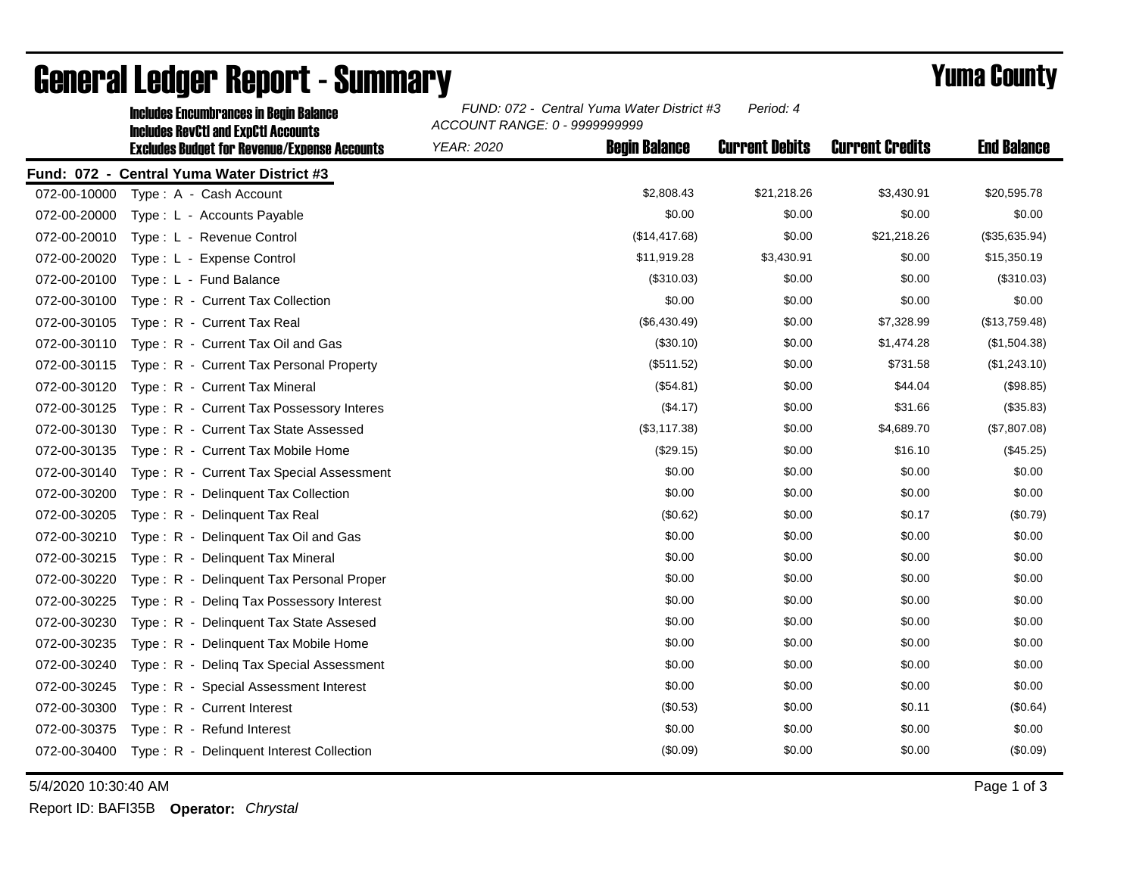|              | <b>Includes Encumbrances in Begin Balance</b><br><b>Includes RevCtI and ExpCtI Accounts</b><br><b>Excludes Budget for Revenue/Expense Accounts</b> | FUND: 072 - Central Yuma Water District #3<br>Period: 4<br>ACCOUNT RANGE: 0 - 9999999999 |                      |                       |                        |                    |
|--------------|----------------------------------------------------------------------------------------------------------------------------------------------------|------------------------------------------------------------------------------------------|----------------------|-----------------------|------------------------|--------------------|
|              |                                                                                                                                                    | <b>YEAR: 2020</b>                                                                        | <b>Begin Balance</b> | <b>Current Debits</b> | <b>Current Credits</b> | <b>End Balance</b> |
|              | Fund: 072 - Central Yuma Water District #3                                                                                                         |                                                                                          |                      |                       |                        |                    |
| 072-00-10000 | Type: A - Cash Account                                                                                                                             |                                                                                          | \$2,808.43           | \$21,218.26           | \$3,430.91             | \$20,595.78        |
| 072-00-20000 | Type: L - Accounts Payable                                                                                                                         |                                                                                          | \$0.00               | \$0.00                | \$0.00                 | \$0.00             |
| 072-00-20010 | Type: L - Revenue Control                                                                                                                          |                                                                                          | (\$14,417.68)        | \$0.00                | \$21,218.26            | (\$35,635.94)      |
| 072-00-20020 | Type: L - Expense Control                                                                                                                          |                                                                                          | \$11,919.28          | \$3,430.91            | \$0.00                 | \$15,350.19        |
| 072-00-20100 | Type: L - Fund Balance                                                                                                                             |                                                                                          | (\$310.03)           | \$0.00                | \$0.00                 | (\$310.03)         |
| 072-00-30100 | Type: R - Current Tax Collection                                                                                                                   |                                                                                          | \$0.00               | \$0.00                | \$0.00                 | \$0.00             |
| 072-00-30105 | Type: R - Current Tax Real                                                                                                                         |                                                                                          | (\$6,430.49)         | \$0.00                | \$7,328.99             | (\$13,759.48)      |
| 072-00-30110 | Type: R - Current Tax Oil and Gas                                                                                                                  |                                                                                          | (\$30.10)            | \$0.00                | \$1,474.28             | (\$1,504.38)       |
| 072-00-30115 | Type: R - Current Tax Personal Property                                                                                                            |                                                                                          | (\$511.52)           | \$0.00                | \$731.58               | (\$1,243.10)       |
| 072-00-30120 | Type: R - Current Tax Mineral                                                                                                                      |                                                                                          | (\$54.81)            | \$0.00                | \$44.04                | (\$98.85)          |
| 072-00-30125 | Type: R - Current Tax Possessory Interes                                                                                                           |                                                                                          | (\$4.17)             | \$0.00                | \$31.66                | (\$35.83)          |
| 072-00-30130 | Type: R - Current Tax State Assessed                                                                                                               |                                                                                          | (\$3,117.38)         | \$0.00                | \$4,689.70             | (\$7,807.08)       |
| 072-00-30135 | Type: R - Current Tax Mobile Home                                                                                                                  |                                                                                          | (\$29.15)            | \$0.00                | \$16.10                | (\$45.25)          |
| 072-00-30140 | Type: R - Current Tax Special Assessment                                                                                                           |                                                                                          | \$0.00               | \$0.00                | \$0.00                 | \$0.00             |
| 072-00-30200 | Type: R - Delinquent Tax Collection                                                                                                                |                                                                                          | \$0.00               | \$0.00                | \$0.00                 | \$0.00             |
| 072-00-30205 | Type: R - Delinguent Tax Real                                                                                                                      |                                                                                          | (\$0.62)             | \$0.00                | \$0.17                 | (\$0.79)           |
| 072-00-30210 | Type: R - Delinquent Tax Oil and Gas                                                                                                               |                                                                                          | \$0.00               | \$0.00                | \$0.00                 | \$0.00             |
| 072-00-30215 | Type: R - Delinguent Tax Mineral                                                                                                                   |                                                                                          | \$0.00               | \$0.00                | \$0.00                 | \$0.00             |
| 072-00-30220 | Type: R - Delinquent Tax Personal Proper                                                                                                           |                                                                                          | \$0.00               | \$0.00                | \$0.00                 | \$0.00             |
| 072-00-30225 | Type: R - Deling Tax Possessory Interest                                                                                                           |                                                                                          | \$0.00               | \$0.00                | \$0.00                 | \$0.00             |
| 072-00-30230 | Type: R - Delinquent Tax State Assesed                                                                                                             |                                                                                          | \$0.00               | \$0.00                | \$0.00                 | \$0.00             |
| 072-00-30235 | Type: R - Delinquent Tax Mobile Home                                                                                                               |                                                                                          | \$0.00               | \$0.00                | \$0.00                 | \$0.00             |
| 072-00-30240 | Type: R - Deling Tax Special Assessment                                                                                                            |                                                                                          | \$0.00               | \$0.00                | \$0.00                 | \$0.00             |
| 072-00-30245 | Type: R - Special Assessment Interest                                                                                                              |                                                                                          | \$0.00               | \$0.00                | \$0.00                 | \$0.00             |
| 072-00-30300 | Type: R - Current Interest                                                                                                                         |                                                                                          | (\$0.53)             | \$0.00                | \$0.11                 | (\$0.64)           |
| 072-00-30375 | Type: R - Refund Interest                                                                                                                          |                                                                                          | \$0.00               | \$0.00                | \$0.00                 | \$0.00             |
| 072-00-30400 | Type: R - Delinquent Interest Collection                                                                                                           |                                                                                          | (\$0.09)             | \$0.00                | \$0.00                 | (\$0.09)           |

## General Ledger Report - Summary **Example 2018** Yuma County

5/4/2020 10:30:40 AM Page 1 of 3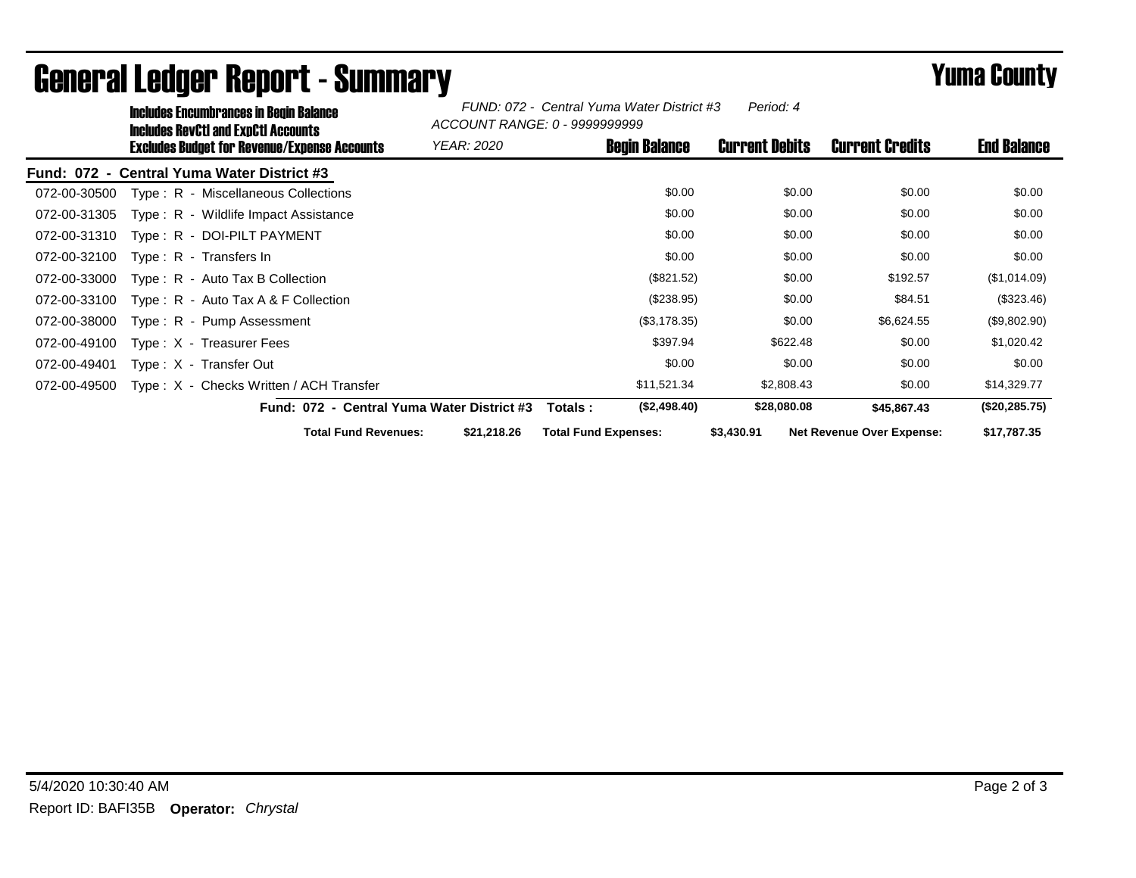| Includes Encumbrances in Begin Balance<br>Includes RevCtI and ExpCtI Accounts |                                            | Period: 4<br>FUND: 072 - Central Yuma Water District #3<br>ACCOUNT RANGE: 0 - 9999999999 |                       |                                  |                    |  |
|-------------------------------------------------------------------------------|--------------------------------------------|------------------------------------------------------------------------------------------|-----------------------|----------------------------------|--------------------|--|
| <b>Excludes Budget for Revenue/Expense Accounts</b>                           | YEAR: 2020                                 | <b>Begin Balance</b>                                                                     | <b>Current Debits</b> | <b>Current Credits</b>           | <b>End Balance</b> |  |
| Fund: 072 - Central Yuma Water District #3                                    |                                            |                                                                                          |                       |                                  |                    |  |
| Type: R - Miscellaneous Collections<br>072-00-30500                           |                                            | \$0.00                                                                                   | \$0.00                | \$0.00                           | \$0.00             |  |
| Type: R - Wildlife Impact Assistance<br>072-00-31305                          |                                            | \$0.00                                                                                   | \$0.00                | \$0.00                           | \$0.00             |  |
| Type: R - DOI-PILT PAYMENT<br>072-00-31310                                    |                                            | \$0.00                                                                                   | \$0.00                | \$0.00                           | \$0.00             |  |
| 072-00-32100<br>Type: $R -$ Transfers In                                      |                                            | \$0.00                                                                                   | \$0.00                | \$0.00                           | \$0.00             |  |
| 072-00-33000<br>Type: R - Auto Tax B Collection                               |                                            | (\$821.52)                                                                               | \$0.00                | \$192.57                         | (\$1,014.09)       |  |
| 072-00-33100<br>Type: $R -$ Auto Tax A & F Collection                         |                                            | (\$238.95)                                                                               | \$0.00                | \$84.51                          | (\$323.46)         |  |
| 072-00-38000<br>Type: R - Pump Assessment                                     |                                            | (\$3,178.35)                                                                             | \$0.00                | \$6,624.55                       | (\$9,802.90)       |  |
| 072-00-49100<br>Type: X - Treasurer Fees                                      |                                            | \$397.94                                                                                 | \$622.48              | \$0.00                           | \$1,020.42         |  |
| 072-00-49401<br>Type: X - Transfer Out                                        |                                            | \$0.00                                                                                   | \$0.00                | \$0.00                           | \$0.00             |  |
| 072-00-49500<br>Type: X - Checks Written / ACH Transfer                       |                                            | \$11,521.34                                                                              | \$2,808.43            | \$0.00                           | \$14,329.77        |  |
|                                                                               | Fund: 072 - Central Yuma Water District #3 | (\$2,498.40)<br>Totals :                                                                 | \$28,080.08           | \$45,867.43                      | (\$20, 285.75)     |  |
| <b>Total Fund Revenues:</b>                                                   | \$21,218.26                                | <b>Total Fund Expenses:</b>                                                              | \$3,430.91            | <b>Net Revenue Over Expense:</b> | \$17,787.35        |  |

## General Ledger Report - Summary **Example 2018** Yuma County